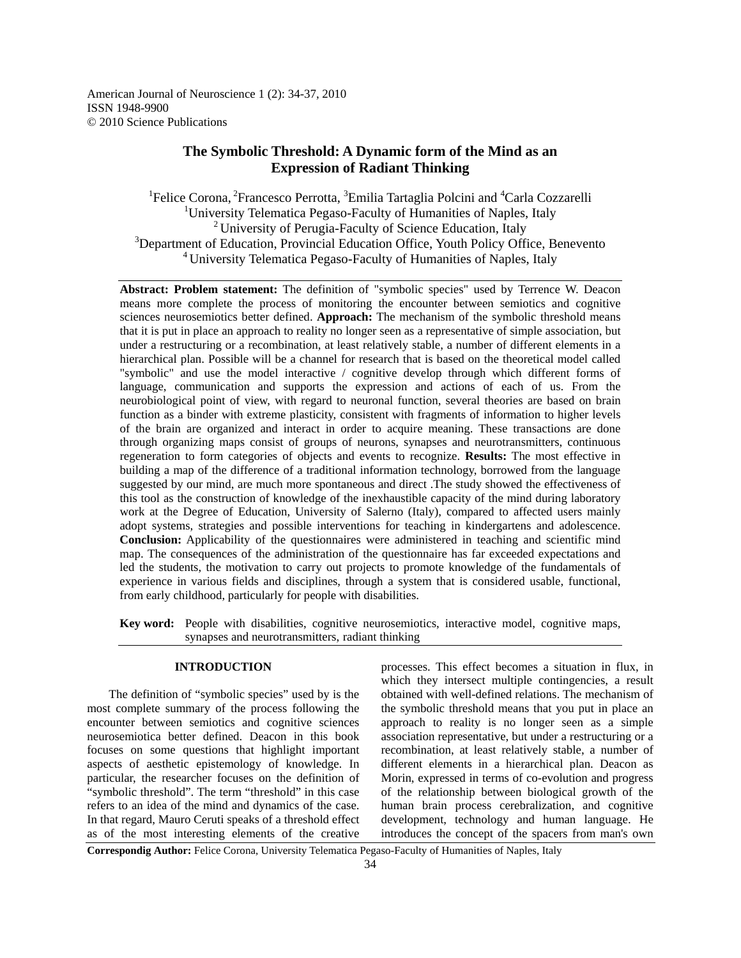American Journal of Neuroscience 1 (2): 34-37, 2010 ISSN 1948-9900 © 2010 Science Publications

# **The Symbolic Threshold: A Dynamic form of the Mind as an Expression of Radiant Thinking**

<sup>1</sup>Felice Corona, <sup>2</sup>Francesco Perrotta, <sup>3</sup>Emilia Tartaglia Polcini and <sup>4</sup>Carla Cozzarelli <sup>1</sup>University Telematica Pegaso-Faculty of Humanities of Naples, Italy  $2^2$  University of Perugia-Faculty of Science Education, Italy <sup>3</sup>Department of Education, Provincial Education Office, Youth Policy Office, Benevento 4 University Telematica Pegaso-Faculty of Humanities of Naples, Italy

Abstract: Problem statement: The definition of "symbolic species" used by Terrence W. Deacon means more complete the process of monitoring the encounter between semiotics and cognitive sciences neurosemiotics better defined. **Approach:** The mechanism of the symbolic threshold means that it is put in place an approach to reality no longer seen as a representative of simple association, but under a restructuring or a recombination, at least relatively stable, a number of different elements in a hierarchical plan. Possible will be a channel for research that is based on the theoretical model called "symbolic" and use the model interactive / cognitive develop through which different forms of language, communication and supports the expression and actions of each of us. From the neurobiological point of view, with regard to neuronal function, several theories are based on brain function as a binder with extreme plasticity, consistent with fragments of information to higher levels of the brain are organized and interact in order to acquire meaning. These transactions are done through organizing maps consist of groups of neurons, synapses and neurotransmitters, continuous regeneration to form categories of objects and events to recognize. **Results:** The most effective in building a map of the difference of a traditional information technology, borrowed from the language suggested by our mind, are much more spontaneous and direct .The study showed the effectiveness of this tool as the construction of knowledge of the inexhaustible capacity of the mind during laboratory work at the Degree of Education, University of Salerno (Italy), compared to affected users mainly adopt systems, strategies and possible interventions for teaching in kindergartens and adolescence. **Conclusion:** Applicability of the questionnaires were administered in teaching and scientific mind map. The consequences of the administration of the questionnaire has far exceeded expectations and led the students, the motivation to carry out projects to promote knowledge of the fundamentals of experience in various fields and disciplines, through a system that is considered usable, functional, from early childhood, particularly for people with disabilities.

**Key word:** People with disabilities, cognitive neurosemiotics, interactive model, cognitive maps, synapses and neurotransmitters, radiant thinking

### **INTRODUCTION**

 The definition of "symbolic species" used by is the most complete summary of the process following the encounter between semiotics and cognitive sciences neurosemiotica better defined. Deacon in this book focuses on some questions that highlight important aspects of aesthetic epistemology of knowledge. In particular, the researcher focuses on the definition of "symbolic threshold". The term "threshold" in this case refers to an idea of the mind and dynamics of the case. In that regard, Mauro Ceruti speaks of a threshold effect as of the most interesting elements of the creative

processes. This effect becomes a situation in flux, in which they intersect multiple contingencies, a result obtained with well-defined relations. The mechanism of the symbolic threshold means that you put in place an approach to reality is no longer seen as a simple association representative, but under a restructuring or a recombination, at least relatively stable, a number of different elements in a hierarchical plan. Deacon as Morin, expressed in terms of co-evolution and progress of the relationship between biological growth of the human brain process cerebralization, and cognitive development, technology and human language. He introduces the concept of the spacers from man's own

**Correspondig Author:** Felice Corona, University Telematica Pegaso-Faculty of Humanities of Naples, Italy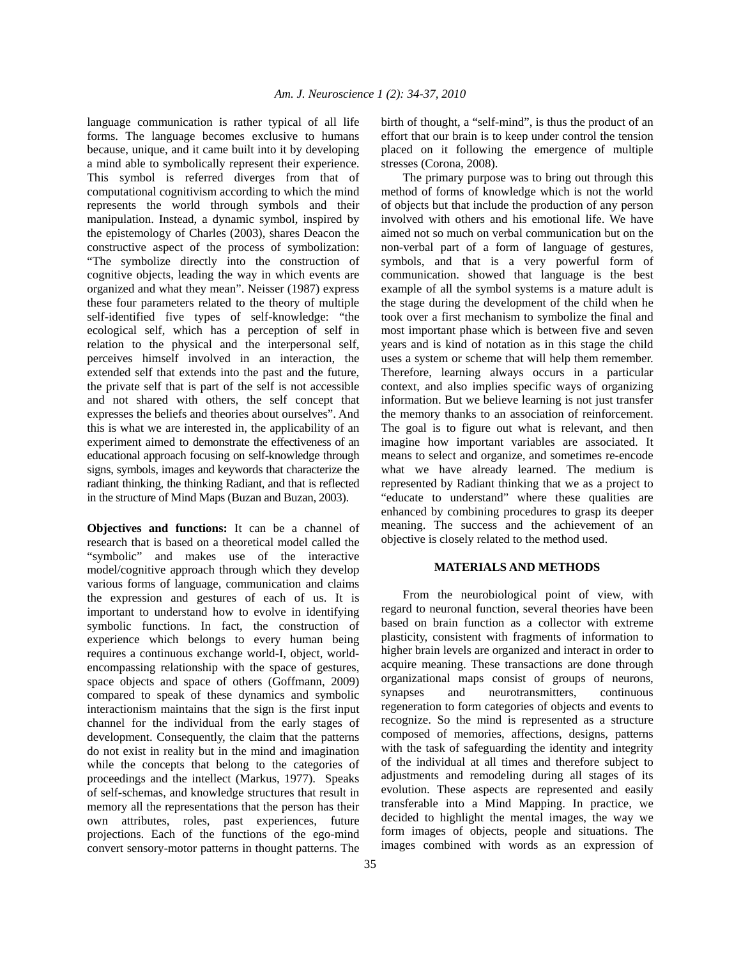language communication is rather typical of all life forms. The language becomes exclusive to humans because, unique, and it came built into it by developing a mind able to symbolically represent their experience. This symbol is referred diverges from that of computational cognitivism according to which the mind represents the world through symbols and their manipulation. Instead, a dynamic symbol, inspired by the epistemology of Charles (2003), shares Deacon the constructive aspect of the process of symbolization: "The symbolize directly into the construction of cognitive objects, leading the way in which events are organized and what they mean". Neisser (1987) express these four parameters related to the theory of multiple self-identified five types of self-knowledge: "the ecological self, which has a perception of self in relation to the physical and the interpersonal self, perceives himself involved in an interaction, the extended self that extends into the past and the future, the private self that is part of the self is not accessible and not shared with others, the self concept that expresses the beliefs and theories about ourselves". And this is what we are interested in, the applicability of an experiment aimed to demonstrate the effectiveness of an educational approach focusing on self-knowledge through signs, symbols, images and keywords that characterize the radiant thinking, the thinking Radiant, and that is reflected in the structure of Mind Maps (Buzan and Buzan, 2003).

**Objectives and functions:** It can be a channel of research that is based on a theoretical model called the "symbolic" and makes use of the interactive model/cognitive approach through which they develop various forms of language, communication and claims the expression and gestures of each of us. It is important to understand how to evolve in identifying symbolic functions. In fact, the construction of experience which belongs to every human being requires a continuous exchange world-I, object, worldencompassing relationship with the space of gestures, space objects and space of others (Goffmann, 2009) compared to speak of these dynamics and symbolic interactionism maintains that the sign is the first input channel for the individual from the early stages of development. Consequently, the claim that the patterns do not exist in reality but in the mind and imagination while the concepts that belong to the categories of proceedings and the intellect (Markus, 1977). Speaks of self-schemas, and knowledge structures that result in memory all the representations that the person has their own attributes, roles, past experiences, future projections. Each of the functions of the ego-mind convert sensory-motor patterns in thought patterns. The

birth of thought, a "self-mind", is thus the product of an effort that our brain is to keep under control the tension placed on it following the emergence of multiple stresses (Corona, 2008).

 The primary purpose was to bring out through this method of forms of knowledge which is not the world of objects but that include the production of any person involved with others and his emotional life. We have aimed not so much on verbal communication but on the non-verbal part of a form of language of gestures, symbols, and that is a very powerful form of communication. showed that language is the best example of all the symbol systems is a mature adult is the stage during the development of the child when he took over a first mechanism to symbolize the final and most important phase which is between five and seven years and is kind of notation as in this stage the child uses a system or scheme that will help them remember. Therefore, learning always occurs in a particular context, and also implies specific ways of organizing information. But we believe learning is not just transfer the memory thanks to an association of reinforcement. The goal is to figure out what is relevant, and then imagine how important variables are associated. It means to select and organize, and sometimes re-encode what we have already learned. The medium is represented by Radiant thinking that we as a project to "educate to understand" where these qualities are enhanced by combining procedures to grasp its deeper meaning. The success and the achievement of an objective is closely related to the method used.

#### **MATERIALS AND METHODS**

 From the neurobiological point of view, with regard to neuronal function, several theories have been based on brain function as a collector with extreme plasticity, consistent with fragments of information to higher brain levels are organized and interact in order to acquire meaning. These transactions are done through organizational maps consist of groups of neurons, synapses and neurotransmitters, continuous regeneration to form categories of objects and events to recognize. So the mind is represented as a structure composed of memories, affections, designs, patterns with the task of safeguarding the identity and integrity of the individual at all times and therefore subject to adjustments and remodeling during all stages of its evolution. These aspects are represented and easily transferable into a Mind Mapping. In practice, we decided to highlight the mental images, the way we form images of objects, people and situations. The images combined with words as an expression of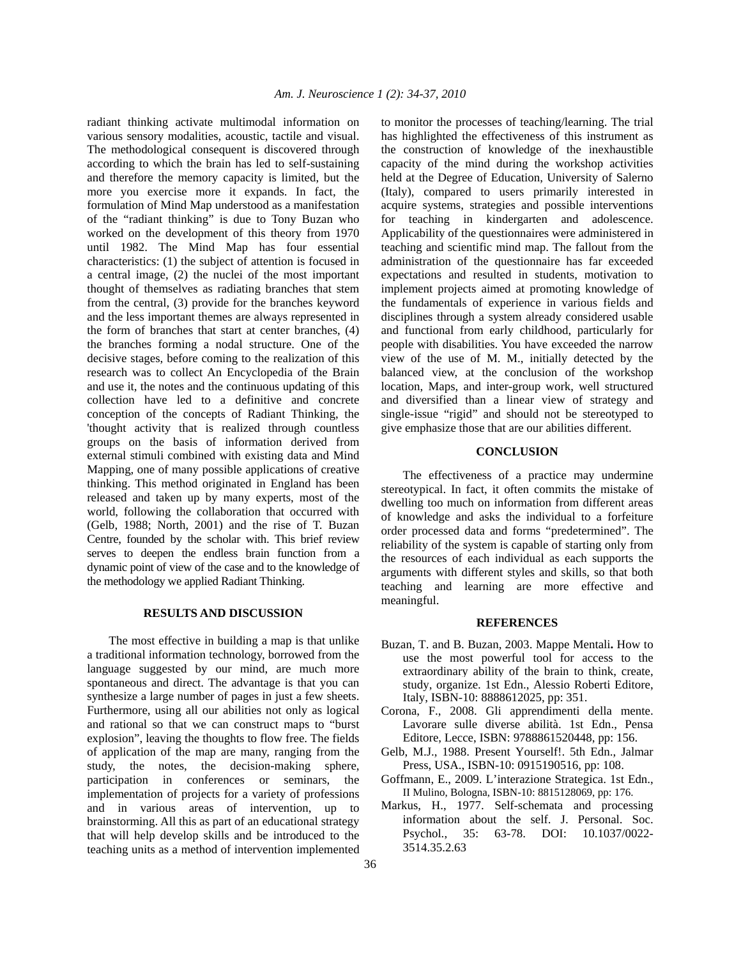radiant thinking activate multimodal information on various sensory modalities, acoustic, tactile and visual. The methodological consequent is discovered through according to which the brain has led to self-sustaining and therefore the memory capacity is limited, but the more you exercise more it expands. In fact, the formulation of Mind Map understood as a manifestation of the "radiant thinking" is due to Tony Buzan who worked on the development of this theory from 1970 until 1982. The Mind Map has four essential characteristics: (1) the subject of attention is focused in a central image, (2) the nuclei of the most important thought of themselves as radiating branches that stem from the central, (3) provide for the branches keyword and the less important themes are always represented in the form of branches that start at center branches, (4) the branches forming a nodal structure. One of the decisive stages, before coming to the realization of this research was to collect An Encyclopedia of the Brain and use it, the notes and the continuous updating of this collection have led to a definitive and concrete conception of the concepts of Radiant Thinking, the 'thought activity that is realized through countless groups on the basis of information derived from external stimuli combined with existing data and Mind Mapping, one of many possible applications of creative thinking. This method originated in England has been released and taken up by many experts, most of the world, following the collaboration that occurred with (Gelb, 1988; North, 2001) and the rise of T. Buzan Centre, founded by the scholar with. This brief review serves to deepen the endless brain function from a dynamic point of view of the case and to the knowledge of the methodology we applied Radiant Thinking.

## **RESULTS AND DISCUSSION**

 The most effective in building a map is that unlike a traditional information technology, borrowed from the language suggested by our mind, are much more spontaneous and direct. The advantage is that you can synthesize a large number of pages in just a few sheets. Furthermore, using all our abilities not only as logical and rational so that we can construct maps to "burst explosion", leaving the thoughts to flow free. The fields of application of the map are many, ranging from the study, the notes, the decision-making sphere, participation in conferences or seminars, the implementation of projects for a variety of professions and in various areas of intervention, up to brainstorming. All this as part of an educational strategy that will help develop skills and be introduced to the teaching units as a method of intervention implemented

to monitor the processes of teaching/learning. The trial has highlighted the effectiveness of this instrument as the construction of knowledge of the inexhaustible capacity of the mind during the workshop activities held at the Degree of Education, University of Salerno (Italy), compared to users primarily interested in acquire systems, strategies and possible interventions for teaching in kindergarten and adolescence. Applicability of the questionnaires were administered in teaching and scientific mind map. The fallout from the administration of the questionnaire has far exceeded expectations and resulted in students, motivation to implement projects aimed at promoting knowledge of the fundamentals of experience in various fields and disciplines through a system already considered usable and functional from early childhood, particularly for people with disabilities. You have exceeded the narrow view of the use of M. M., initially detected by the balanced view, at the conclusion of the workshop location, Maps, and inter-group work, well structured and diversified than a linear view of strategy and single-issue "rigid" and should not be stereotyped to give emphasize those that are our abilities different.

## **CONCLUSION**

 The effectiveness of a practice may undermine stereotypical. In fact, it often commits the mistake of dwelling too much on information from different areas of knowledge and asks the individual to a forfeiture order processed data and forms "predetermined". The reliability of the system is capable of starting only from the resources of each individual as each supports the arguments with different styles and skills, so that both teaching and learning are more effective and meaningful.

#### **REFERENCES**

- Buzan, T. and B. Buzan, 2003. Mappe Mentali**.** How to use the most powerful tool for access to the extraordinary ability of the brain to think, create, study, organize. 1st Edn., Alessio Roberti Editore, Italy, ISBN-10: 8888612025, pp: 351.
- Corona, F., 2008. Gli apprendimenti della mente. Lavorare sulle diverse abilità. 1st Edn., Pensa Editore, Lecce, ISBN: 9788861520448, pp: 156.
- Gelb, M.J., 1988. Present Yourself!. 5th Edn., Jalmar Press, USA., ISBN-10: 0915190516, pp: 108.
- Goffmann, E., 2009. L'interazione Strategica. 1st Edn., II Mulino, Bologna, ISBN-10: 8815128069, pp: 176.
- Markus, H., 1977. Self-schemata and processing information about the self. J. Personal. Soc. Psychol., 35: 63-78. DOI: 10.1037/0022- 3514.35.2.63